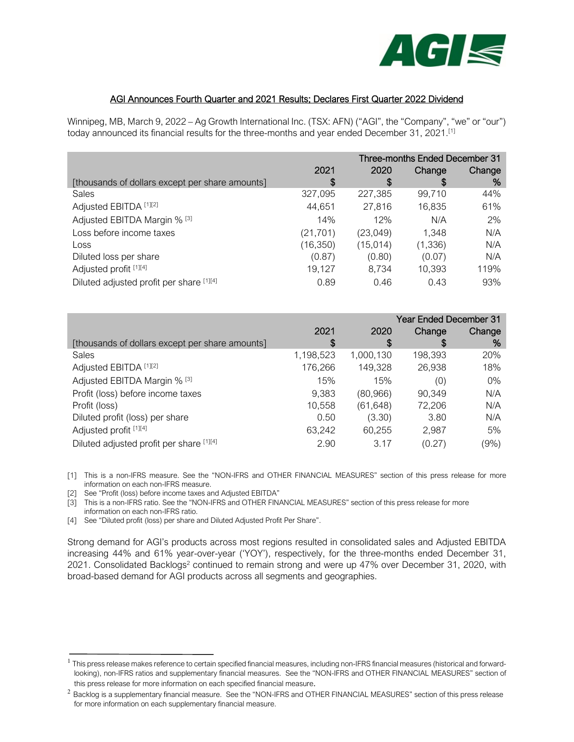

## AGI Announces Fourth Quarter and 2021 Results; Declares First Quarter 2022 Dividend

Winnipeg, MB, March 9, 2022 – Ag Growth International Inc. (TSX: AFN) ("AGI", the "Company", "we" or "our") today announced its financial results for the three-months and year ended December 31, 2021.<sup>[1]</sup>

|                                                 | Three-months Ended December 31 |           |         |        |
|-------------------------------------------------|--------------------------------|-----------|---------|--------|
|                                                 | 2021                           | 2020      | Change  | Change |
| [thousands of dollars except per share amounts] | S                              | \$        | S       | %      |
| <b>Sales</b>                                    | 327,095                        | 227,385   | 99,710  | 44%    |
| Adjusted EBITDA [1][2]                          | 44,651                         | 27,816    | 16,835  | 61%    |
| Adjusted EBITDA Margin % [3]                    | 14%                            | 12%       | N/A     | 2%     |
| Loss before income taxes                        | (21, 701)                      | (23, 049) | 1,348   | N/A    |
| Loss                                            | (16, 350)                      | (15, 014) | (1,336) | N/A    |
| Diluted loss per share                          | (0.87)                         | (0.80)    | (0.07)  | N/A    |
| Adjusted profit [1][4]                          | 19,127                         | 8,734     | 10,393  | 119%   |
| Diluted adjusted profit per share [1][4]        | 0.89                           | 0.46      | 0.43    | 93%    |

|                                                 |           | <b>Year Ended December 31</b> |         |         |
|-------------------------------------------------|-----------|-------------------------------|---------|---------|
|                                                 | 2021      | 2020                          | Change  | Change  |
| [thousands of dollars except per share amounts] | S         | S                             | S       | %       |
| <b>Sales</b>                                    | 1,198,523 | 1,000,130                     | 198,393 | 20%     |
| Adjusted EBITDA [1][2]                          | 176,266   | 149,328                       | 26,938  | 18%     |
| Adjusted EBITDA Margin % [3]                    | 15%       | 15%                           | (0)     | $0\%$   |
| Profit (loss) before income taxes               | 9,383     | (80, 966)                     | 90,349  | N/A     |
| Profit (loss)                                   | 10,558    | (61, 648)                     | 72,206  | N/A     |
| Diluted profit (loss) per share                 | 0.50      | (3.30)                        | 3.80    | N/A     |
| Adjusted profit [1][4]                          | 63,242    | 60,255                        | 2,987   | 5%      |
| Diluted adjusted profit per share [1][4]        | 2.90      | 3.17                          | (0.27)  | $(9\%)$ |

[1] This is a non-IFRS measure. See the "NON-IFRS and OTHER FINANCIAL MEASURES" section of this press release for more information on each non-IFRS measure.

[2] See "Profit (loss) before income taxes and Adjusted EBITDA"

[3] This is a non-IFRS ratio. See the "NON-IFRS and OTHER FINANCIAL MEASURES" section of this press release for more information on each non-IFRS ratio.

[4] See "Diluted profit (loss) per share and Diluted Adjusted Profit Per Share".

Strong demand for AGI's products across most regions resulted in consolidated sales and Adjusted EBITDA increasing 44% and 61% year-over-year ('YOY'), respectively, for the three-months ended December 31, 2021. Consolidated Backlogs<sup>2</sup> continued to remain strong and were up 47% over December 31, 2020, with broad-based demand for AGI products across all segments and geographies.

<sup>&</sup>lt;sup>1</sup> This press release makes reference to certain specified financial measures, including non-IFRS financial measures (historical and forwardlooking), non-IFRS ratios and supplementary financial measures. See the "NON-IFRS and OTHER FINANCIAL MEASURES" section of this press release for more information on each specified financial measure.

<sup>&</sup>lt;sup>2</sup> Backlog is a supplementary financial measure. See the "NON-IFRS and OTHER FINANCIAL MEASURES" section of this press release for more information on each supplementary financial measure.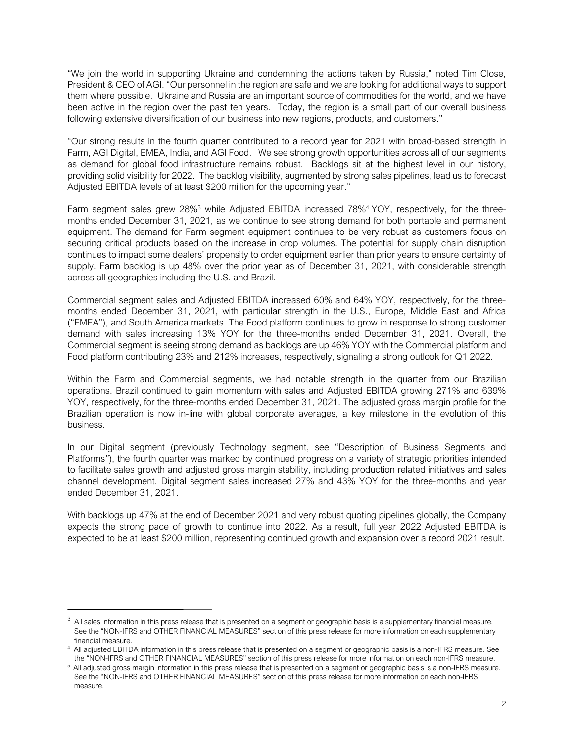"We join the world in supporting Ukraine and condemning the actions taken by Russia," noted Tim Close, President & CEO of AGI. "Our personnel in the region are safe and we are looking for additional ways to support them where possible. Ukraine and Russia are an important source of commodities for the world, and we have been active in the region over the past ten years. Today, the region is a small part of our overall business following extensive diversification of our business into new regions, products, and customers."

"Our strong results in the fourth quarter contributed to a record year for 2021 with broad-based strength in Farm, AGI Digital, EMEA, India, and AGI Food. We see strong growth opportunities across all of our segments as demand for global food infrastructure remains robust. Backlogs sit at the highest level in our history, providing solid visibility for 2022. The backlog visibility, augmented by strong sales pipelines, lead us to forecast Adjusted EBITDA levels of at least \$200 million for the upcoming year."

Farm segment sales grew 28%<sup>3</sup> while Adjusted EBITDA increased 78%<sup>4</sup> YOY, respectively, for the threemonths ended December 31, 2021, as we continue to see strong demand for both portable and permanent equipment. The demand for Farm segment equipment continues to be very robust as customers focus on securing critical products based on the increase in crop volumes. The potential for supply chain disruption continues to impact some dealers' propensity to order equipment earlier than prior years to ensure certainty of supply. Farm backlog is up 48% over the prior year as of December 31, 2021, with considerable strength across all geographies including the U.S. and Brazil.

Commercial segment sales and Adjusted EBITDA increased 60% and 64% YOY, respectively, for the threemonths ended December 31, 2021, with particular strength in the U.S., Europe, Middle East and Africa ("EMEA"), and South America markets. The Food platform continues to grow in response to strong customer demand with sales increasing 13% YOY for the three-months ended December 31, 2021. Overall, the Commercial segment is seeing strong demand as backlogs are up 46% YOY with the Commercial platform and Food platform contributing 23% and 212% increases, respectively, signaling a strong outlook for Q1 2022.

Within the Farm and Commercial segments, we had notable strength in the quarter from our Brazilian operations. Brazil continued to gain momentum with sales and Adjusted EBITDA growing 271% and 639% YOY, respectively, for the three-months ended December 31, 2021. The adjusted gross margin profile for the Brazilian operation is now in-line with global corporate averages, a key milestone in the evolution of this business.

In our Digital segment (previously Technology segment, see "Description of Business Segments and Platforms*"*), the fourth quarter was marked by continued progress on a variety of strategic priorities intended to facilitate sales growth and adjusted gross margin stability, including production related initiatives and sales channel development. Digital segment sales increased 27% and 43% YOY for the three-months and year ended December 31, 2021.

With backlogs up 47% at the end of December 2021 and very robust quoting pipelines globally, the Company expects the strong pace of growth to continue into 2022. As a result, full year 2022 Adjusted EBITDA is expected to be at least \$200 million, representing continued growth and expansion over a record 2021 result.

 $3$  All sales information in this press release that is presented on a segment or geographic basis is a supplementary financial measure. See the "NON-IFRS and OTHER FINANCIAL MEASURES" section of this press release for more information on each supplementary financial measure.

<sup>4</sup> All adjusted EBITDA information in this press release that is presented on a segment or geographic basis is a non-IFRS measure. See the "NON-IFRS and OTHER FINANCIAL MEASURES" section of this press release for more information on each non-IFRS measure.

<sup>&</sup>lt;sup>5</sup> All adjusted gross margin information in this press release that is presented on a segment or geographic basis is a non-IFRS measure. See the "NON-IFRS and OTHER FINANCIAL MEASURES" section of this press release for more information on each non-IFRS measure.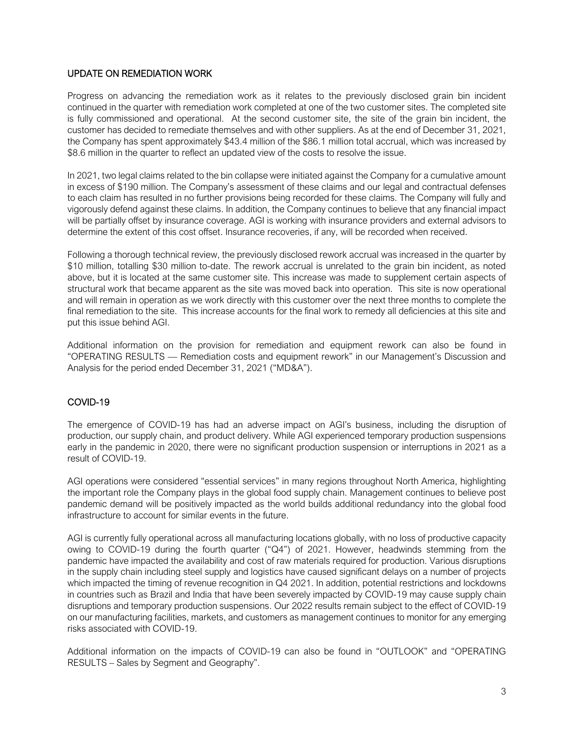## UPDATE ON REMEDIATION WORK

Progress on advancing the remediation work as it relates to the previously disclosed grain bin incident continued in the quarter with remediation work completed at one of the two customer sites. The completed site is fully commissioned and operational. At the second customer site, the site of the grain bin incident, the customer has decided to remediate themselves and with other suppliers. As at the end of December 31, 2021, the Company has spent approximately \$43.4 million of the \$86.1 million total accrual, which was increased by \$8.6 million in the quarter to reflect an updated view of the costs to resolve the issue.

In 2021, two legal claims related to the bin collapse were initiated against the Company for a cumulative amount in excess of \$190 million. The Company's assessment of these claims and our legal and contractual defenses to each claim has resulted in no further provisions being recorded for these claims. The Company will fully and vigorously defend against these claims. In addition, the Company continues to believe that any financial impact will be partially offset by insurance coverage. AGI is working with insurance providers and external advisors to determine the extent of this cost offset. Insurance recoveries, if any, will be recorded when received.

Following a thorough technical review, the previously disclosed rework accrual was increased in the quarter by \$10 million, totalling \$30 million to-date. The rework accrual is unrelated to the grain bin incident, as noted above, but it is located at the same customer site. This increase was made to supplement certain aspects of structural work that became apparent as the site was moved back into operation. This site is now operational and will remain in operation as we work directly with this customer over the next three months to complete the final remediation to the site. This increase accounts for the final work to remedy all deficiencies at this site and put this issue behind AGI.

Additional information on the provision for remediation and equipment rework can also be found in "OPERATING RESULTS –– Remediation costs and equipment rework" in our Management's Discussion and Analysis for the period ended December 31, 2021 ("MD&A").

## COVID-19

The emergence of COVID-19 has had an adverse impact on AGI's business, including the disruption of production, our supply chain, and product delivery. While AGI experienced temporary production suspensions early in the pandemic in 2020, there were no significant production suspension or interruptions in 2021 as a result of COVID-19.

AGI operations were considered "essential services" in many regions throughout North America, highlighting the important role the Company plays in the global food supply chain. Management continues to believe post pandemic demand will be positively impacted as the world builds additional redundancy into the global food infrastructure to account for similar events in the future.

AGI is currently fully operational across all manufacturing locations globally, with no loss of productive capacity owing to COVID-19 during the fourth quarter ("Q4") of 2021. However, headwinds stemming from the pandemic have impacted the availability and cost of raw materials required for production. Various disruptions in the supply chain including steel supply and logistics have caused significant delays on a number of projects which impacted the timing of revenue recognition in Q4 2021. In addition, potential restrictions and lockdowns in countries such as Brazil and India that have been severely impacted by COVID-19 may cause supply chain disruptions and temporary production suspensions. Our 2022 results remain subject to the effect of COVID-19 on our manufacturing facilities, markets, and customers as management continues to monitor for any emerging risks associated with COVID-19.

Additional information on the impacts of COVID-19 can also be found in "OUTLOOK" and "OPERATING RESULTS – Sales by Segment and Geography".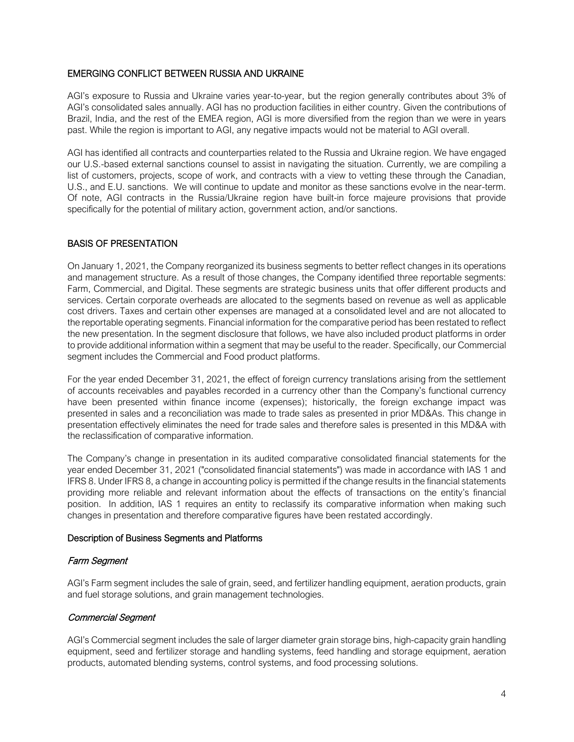## EMERGING CONFLICT BETWEEN RUSSIA AND UKRAINE

AGI's exposure to Russia and Ukraine varies year-to-year, but the region generally contributes about 3% of AGI's consolidated sales annually. AGI has no production facilities in either country. Given the contributions of Brazil, India, and the rest of the EMEA region, AGI is more diversified from the region than we were in years past. While the region is important to AGI, any negative impacts would not be material to AGI overall.

AGI has identified all contracts and counterparties related to the Russia and Ukraine region. We have engaged our U.S.-based external sanctions counsel to assist in navigating the situation. Currently, we are compiling a list of customers, projects, scope of work, and contracts with a view to vetting these through the Canadian, U.S., and E.U. sanctions. We will continue to update and monitor as these sanctions evolve in the near-term. Of note, AGI contracts in the Russia/Ukraine region have built-in force majeure provisions that provide specifically for the potential of military action, government action, and/or sanctions.

## BASIS OF PRESENTATION

On January 1, 2021, the Company reorganized its business segments to better reflect changes in its operations and management structure. As a result of those changes, the Company identified three reportable segments: Farm, Commercial, and Digital. These segments are strategic business units that offer different products and services. Certain corporate overheads are allocated to the segments based on revenue as well as applicable cost drivers. Taxes and certain other expenses are managed at a consolidated level and are not allocated to the reportable operating segments. Financial information for the comparative period has been restated to reflect the new presentation. In the segment disclosure that follows, we have also included product platforms in order to provide additional information within a segment that may be useful to the reader. Specifically, our Commercial segment includes the Commercial and Food product platforms.

For the year ended December 31, 2021, the effect of foreign currency translations arising from the settlement of accounts receivables and payables recorded in a currency other than the Company's functional currency have been presented within finance income (expenses); historically, the foreign exchange impact was presented in sales and a reconciliation was made to trade sales as presented in prior MD&As. This change in presentation effectively eliminates the need for trade sales and therefore sales is presented in this MD&A with the reclassification of comparative information.

The Company's change in presentation in its audited comparative consolidated financial statements for the year ended December 31, 2021 ("consolidated financial statements") was made in accordance with IAS 1 and IFRS 8. Under IFRS 8, a change in accounting policy is permitted if the change results in the financial statements providing more reliable and relevant information about the effects of transactions on the entity's financial position. In addition, IAS 1 requires an entity to reclassify its comparative information when making such changes in presentation and therefore comparative figures have been restated accordingly.

## Description of Business Segments and Platforms

## Farm Segment

AGI's Farm segment includes the sale of grain, seed, and fertilizer handling equipment, aeration products, grain and fuel storage solutions, and grain management technologies.

## Commercial Segment

AGI's Commercial segment includes the sale of larger diameter grain storage bins, high-capacity grain handling equipment, seed and fertilizer storage and handling systems, feed handling and storage equipment, aeration products, automated blending systems, control systems, and food processing solutions.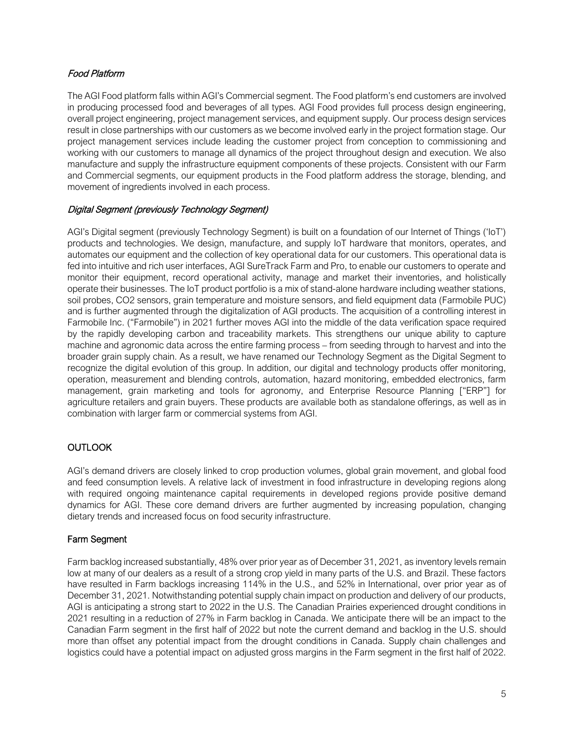## Food Platform

The AGI Food platform falls within AGI's Commercial segment. The Food platform's end customers are involved in producing processed food and beverages of all types. AGI Food provides full process design engineering, overall project engineering, project management services, and equipment supply. Our process design services result in close partnerships with our customers as we become involved early in the project formation stage. Our project management services include leading the customer project from conception to commissioning and working with our customers to manage all dynamics of the project throughout design and execution. We also manufacture and supply the infrastructure equipment components of these projects. Consistent with our Farm and Commercial segments, our equipment products in the Food platform address the storage, blending, and movement of ingredients involved in each process.

# Digital Segment (previously Technology Segment)

AGI's Digital segment (previously Technology Segment) is built on a foundation of our Internet of Things ('IoT') products and technologies. We design, manufacture, and supply IoT hardware that monitors, operates, and automates our equipment and the collection of key operational data for our customers. This operational data is fed into intuitive and rich user interfaces, AGI SureTrack Farm and Pro, to enable our customers to operate and monitor their equipment, record operational activity, manage and market their inventories, and holistically operate their businesses. The IoT product portfolio is a mix of stand-alone hardware including weather stations, soil probes, CO2 sensors, grain temperature and moisture sensors, and field equipment data (Farmobile PUC) and is further augmented through the digitalization of AGI products. The acquisition of a controlling interest in Farmobile Inc. ("Farmobile") in 2021 further moves AGI into the middle of the data verification space required by the rapidly developing carbon and traceability markets. This strengthens our unique ability to capture machine and agronomic data across the entire farming process – from seeding through to harvest and into the broader grain supply chain. As a result, we have renamed our Technology Segment as the Digital Segment to recognize the digital evolution of this group. In addition, our digital and technology products offer monitoring, operation, measurement and blending controls, automation, hazard monitoring, embedded electronics, farm management, grain marketing and tools for agronomy, and Enterprise Resource Planning ["ERP"] for agriculture retailers and grain buyers. These products are available both as standalone offerings, as well as in combination with larger farm or commercial systems from AGI.

## OUTLOOK

AGI's demand drivers are closely linked to crop production volumes, global grain movement, and global food and feed consumption levels. A relative lack of investment in food infrastructure in developing regions along with required ongoing maintenance capital requirements in developed regions provide positive demand dynamics for AGI. These core demand drivers are further augmented by increasing population, changing dietary trends and increased focus on food security infrastructure.

## Farm Segment

Farm backlog increased substantially, 48% over prior year as of December 31, 2021, as inventory levels remain low at many of our dealers as a result of a strong crop yield in many parts of the U.S. and Brazil. These factors have resulted in Farm backlogs increasing 114% in the U.S., and 52% in International, over prior year as of December 31, 2021. Notwithstanding potential supply chain impact on production and delivery of our products, AGI is anticipating a strong start to 2022 in the U.S. The Canadian Prairies experienced drought conditions in 2021 resulting in a reduction of 27% in Farm backlog in Canada. We anticipate there will be an impact to the Canadian Farm segment in the first half of 2022 but note the current demand and backlog in the U.S. should more than offset any potential impact from the drought conditions in Canada. Supply chain challenges and logistics could have a potential impact on adjusted gross margins in the Farm segment in the first half of 2022.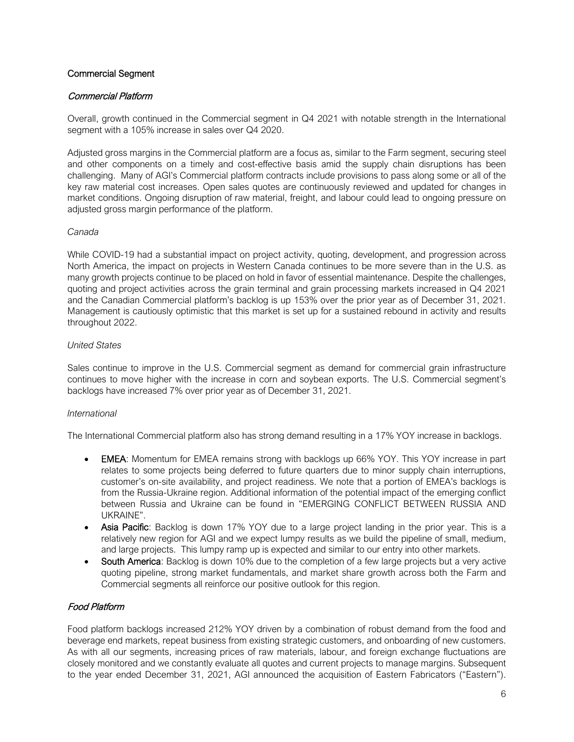## Commercial Segment

## Commercial Platform

Overall, growth continued in the Commercial segment in Q4 2021 with notable strength in the International segment with a 105% increase in sales over Q4 2020.

Adjusted gross margins in the Commercial platform are a focus as, similar to the Farm segment, securing steel and other components on a timely and cost-effective basis amid the supply chain disruptions has been challenging. Many of AGI's Commercial platform contracts include provisions to pass along some or all of the key raw material cost increases. Open sales quotes are continuously reviewed and updated for changes in market conditions. Ongoing disruption of raw material, freight, and labour could lead to ongoing pressure on adjusted gross margin performance of the platform.

#### *Canada*

While COVID-19 had a substantial impact on project activity, quoting, development, and progression across North America, the impact on projects in Western Canada continues to be more severe than in the U.S. as many growth projects continue to be placed on hold in favor of essential maintenance. Despite the challenges, quoting and project activities across the grain terminal and grain processing markets increased in Q4 2021 and the Canadian Commercial platform's backlog is up 153% over the prior year as of December 31, 2021. Management is cautiously optimistic that this market is set up for a sustained rebound in activity and results throughout 2022.

#### *United States*

Sales continue to improve in the U.S. Commercial segment as demand for commercial grain infrastructure continues to move higher with the increase in corn and soybean exports. The U.S. Commercial segment's backlogs have increased 7% over prior year as of December 31, 2021.

## *International*

The International Commercial platform also has strong demand resulting in a 17% YOY increase in backlogs.

- EMEA: Momentum for EMEA remains strong with backlogs up 66% YOY. This YOY increase in part relates to some projects being deferred to future quarters due to minor supply chain interruptions, customer's on-site availability, and project readiness. We note that a portion of EMEA's backlogs is from the Russia-Ukraine region. Additional information of the potential impact of the emerging conflict between Russia and Ukraine can be found in "EMERGING CONFLICT BETWEEN RUSSIA AND UKRAINE".
- Asia Pacific: Backlog is down 17% YOY due to a large project landing in the prior year. This is a relatively new region for AGI and we expect lumpy results as we build the pipeline of small, medium, and large projects. This lumpy ramp up is expected and similar to our entry into other markets.
- South America: Backlog is down 10% due to the completion of a few large projects but a very active quoting pipeline, strong market fundamentals, and market share growth across both the Farm and Commercial segments all reinforce our positive outlook for this region.

## Food Platform

Food platform backlogs increased 212% YOY driven by a combination of robust demand from the food and beverage end markets, repeat business from existing strategic customers, and onboarding of new customers. As with all our segments, increasing prices of raw materials, labour, and foreign exchange fluctuations are closely monitored and we constantly evaluate all quotes and current projects to manage margins. Subsequent to the year ended December 31, 2021, AGI announced the acquisition of Eastern Fabricators ("Eastern").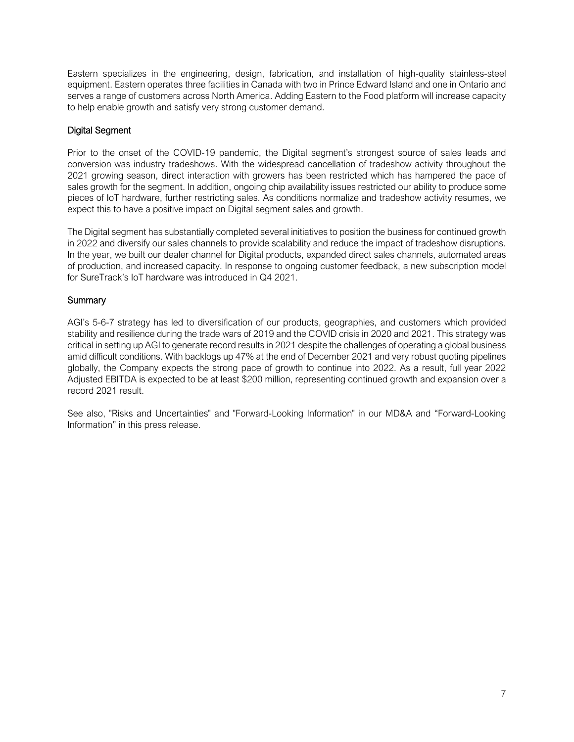Eastern specializes in the engineering, design, fabrication, and installation of high-quality stainless-steel equipment. Eastern operates three facilities in Canada with two in Prince Edward Island and one in Ontario and serves a range of customers across North America. Adding Eastern to the Food platform will increase capacity to help enable growth and satisfy very strong customer demand.

## Digital Segment

Prior to the onset of the COVID-19 pandemic, the Digital segment's strongest source of sales leads and conversion was industry tradeshows. With the widespread cancellation of tradeshow activity throughout the 2021 growing season, direct interaction with growers has been restricted which has hampered the pace of sales growth for the segment. In addition, ongoing chip availability issues restricted our ability to produce some pieces of IoT hardware, further restricting sales. As conditions normalize and tradeshow activity resumes, we expect this to have a positive impact on Digital segment sales and growth.

The Digital segment has substantially completed several initiatives to position the business for continued growth in 2022 and diversify our sales channels to provide scalability and reduce the impact of tradeshow disruptions. In the year, we built our dealer channel for Digital products, expanded direct sales channels, automated areas of production, and increased capacity. In response to ongoing customer feedback, a new subscription model for SureTrack's IoT hardware was introduced in Q4 2021.

## **Summary**

AGI's 5-6-7 strategy has led to diversification of our products, geographies, and customers which provided stability and resilience during the trade wars of 2019 and the COVID crisis in 2020 and 2021. This strategy was critical in setting up AGI to generate record results in 2021 despite the challenges of operating a global business amid difficult conditions. With backlogs up 47% at the end of December 2021 and very robust quoting pipelines globally, the Company expects the strong pace of growth to continue into 2022. As a result, full year 2022 Adjusted EBITDA is expected to be at least \$200 million, representing continued growth and expansion over a record 2021 result.

See also, "Risks and Uncertainties" and "Forward-Looking Information" in our MD&A and "Forward-Looking Information" in this press release.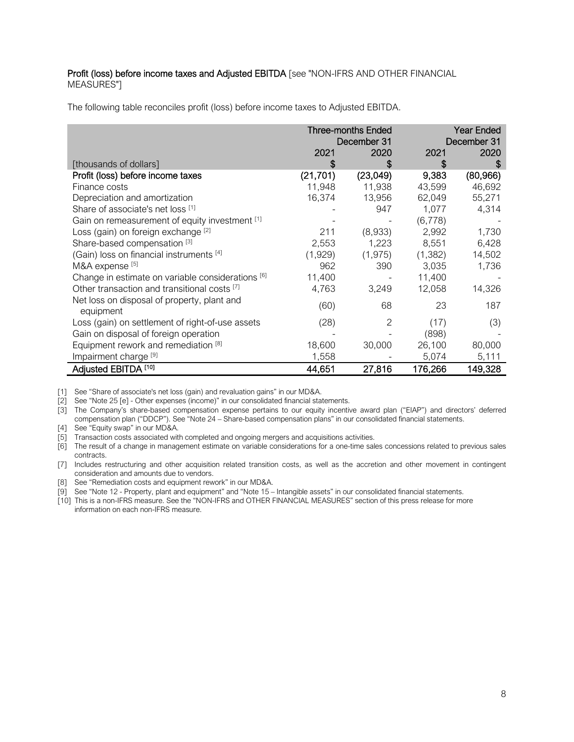#### Profit (loss) before income taxes and Adjusted EBITDA [see "NON-IFRS AND OTHER FINANCIAL MEASURES"]

The following table reconciles profit (loss) before income taxes to Adjusted EBITDA.

|                                                          | <b>Three-months Ended</b><br>December 31 |          | Year Ended<br>December 31 |           |
|----------------------------------------------------------|------------------------------------------|----------|---------------------------|-----------|
|                                                          |                                          |          |                           |           |
|                                                          | 2021                                     | 2020     | 2021                      | 2020      |
| [thousands of dollars]                                   |                                          | S        | \$                        | S         |
| Profit (loss) before income taxes                        | (21, 701)                                | (23,049) | 9,383                     | (80, 966) |
| Finance costs                                            | 11,948                                   | 11,938   | 43,599                    | 46,692    |
| Depreciation and amortization                            | 16,374                                   | 13,956   | 62,049                    | 55,271    |
| Share of associate's net loss [1]                        |                                          | 947      | 1,077                     | 4,314     |
| Gain on remeasurement of equity investment [1]           |                                          |          | (6,778)                   |           |
| Loss (gain) on foreign exchange [2]                      | 211                                      | (8,933)  | 2,992                     | 1,730     |
| Share-based compensation [3]                             | 2,553                                    | 1,223    | 8,551                     | 6,428     |
| (Gain) loss on financial instruments [4]                 | (1,929)                                  | (1, 975) | (1, 382)                  | 14,502    |
| M&A expense [5]                                          | 962                                      | 390      | 3,035                     | 1,736     |
| Change in estimate on variable considerations [6]        | 11,400                                   |          | 11,400                    |           |
| Other transaction and transitional costs [7]             | 4,763                                    | 3,249    | 12,058                    | 14,326    |
| Net loss on disposal of property, plant and<br>equipment | (60)                                     | 68       | 23                        | 187       |
| Loss (gain) on settlement of right-of-use assets         | (28)                                     | 2        | (17)                      | (3)       |
| Gain on disposal of foreign operation                    |                                          |          | (898)                     |           |
| Equipment rework and remediation <sup>[8]</sup>          | 18,600                                   | 30,000   | 26,100                    | 80,000    |
| Impairment charge <sup>[9]</sup>                         | 1,558                                    |          | 5,074                     | 5,111     |
| Adjusted EBITDA <sup>[10]</sup>                          | 44,651                                   | 27,816   | 176,266                   | 149,328   |

[1] See "Share of associate's net loss (gain) and revaluation gains" in our MD&A.

[2] See "Note 25 [e] - Other expenses (income)" in our consolidated financial statements.

[3] The Company's share-based compensation expense pertains to our equity incentive award plan ("EIAP") and directors' deferred compensation plan ("DDCP"). See "Note 24 – Share-based compensation plans" in our consolidated financial statements.

[4] See "Equity swap" in our MD&A.

[5] Transaction costs associated with completed and ongoing mergers and acquisitions activities.

[6] The result of a change in management estimate on variable considerations for a one-time sales concessions related to previous sales contracts.

[7] Includes restructuring and other acquisition related transition costs, as well as the accretion and other movement in contingent consideration and amounts due to vendors.

[8] See "Remediation costs and equipment rework" in our MD&A.

[9] See "Note 12 - Property, plant and equipment" and "Note 15 – Intangible assets" in our consolidated financial statements.

[10] This is a non-IFRS measure. See the "NON-IFRS and OTHER FINANCIAL MEASURES" section of this press release for more information on each non-IFRS measure.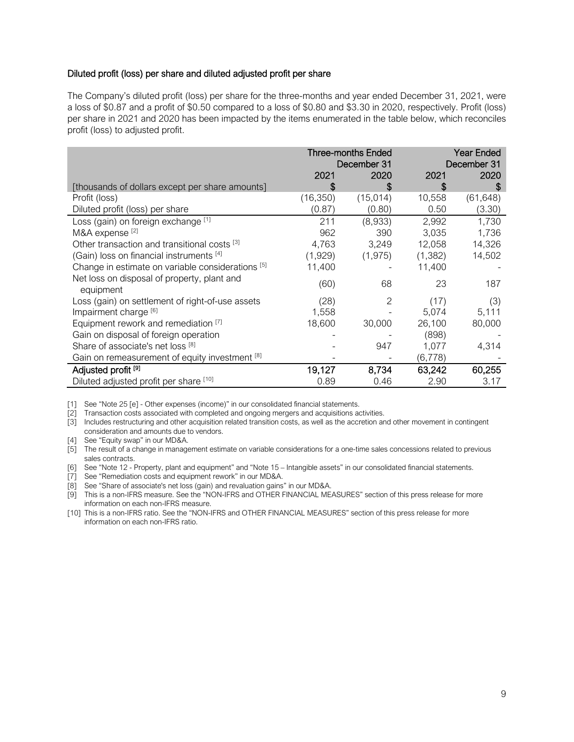#### Diluted profit (loss) per share and diluted adjusted profit per share

The Company's diluted profit (loss) per share for the three-months and year ended December 31, 2021, were a loss of \$0.87 and a profit of \$0.50 compared to a loss of \$0.80 and \$3.30 in 2020, respectively. Profit (loss) per share in 2021 and 2020 has been impacted by the items enumerated in the table below, which reconciles profit (loss) to adjusted profit.

|                                                          | <b>Three-months Ended</b><br>December 31 |          | <b>Year Ended</b><br>December 31 |           |
|----------------------------------------------------------|------------------------------------------|----------|----------------------------------|-----------|
|                                                          | 2021                                     | 2020     | 2021                             | 2020      |
| [thousands of dollars except per share amounts]          | \$                                       | S        | S                                | \$.       |
| Profit (loss)                                            | (16, 350)                                | (15,014) | 10,558                           | (61, 648) |
| Diluted profit (loss) per share                          | (0.87)                                   | (0.80)   | 0.50                             | (3.30)    |
| Loss (gain) on foreign exchange [1]                      | 211                                      | (8,933)  | 2,992                            | 1,730     |
| M&A expense <sup>[2]</sup>                               | 962                                      | 390      | 3,035                            | 1,736     |
| Other transaction and transitional costs <sup>[3]</sup>  | 4,763                                    | 3,249    | 12,058                           | 14,326    |
| (Gain) loss on financial instruments [4]                 | (1,929)                                  | (1, 975) | (1, 382)                         | 14,502    |
| Change in estimate on variable considerations [5]        | 11,400                                   |          | 11,400                           |           |
| Net loss on disposal of property, plant and<br>equipment | (60)                                     | 68       | 23                               | 187       |
| Loss (gain) on settlement of right-of-use assets         | (28)                                     | 2        | (17)                             | (3)       |
| Impairment charge [6]                                    | 1,558                                    |          | 5,074                            | 5,111     |
| Equipment rework and remediation [7]                     | 18,600                                   | 30,000   | 26,100                           | 80,000    |
| Gain on disposal of foreign operation                    |                                          |          | (898)                            |           |
| Share of associate's net loss [8]                        |                                          | 947      | 1,077                            | 4,314     |
| Gain on remeasurement of equity investment [8]           |                                          |          | (6, 778)                         |           |
| Adjusted profit <sup>[9]</sup>                           | 19,127                                   | 8,734    | 63,242                           | 60,255    |
| Diluted adjusted profit per share [10]                   | 0.89                                     | 0.46     | 2.90                             | 3.17      |

[1] See "Note 25 [e] - Other expenses (income)" in our consolidated financial statements.

[2] Transaction costs associated with completed and ongoing mergers and acquisitions activities.

[3] Includes restructuring and other acquisition related transition costs, as well as the accretion and other movement in contingent consideration and amounts due to vendors.

[4] See "Equity swap" in our MD&A.

[5] The result of a change in management estimate on variable considerations for a one-time sales concessions related to previous sales contracts.

[6] See "Note 12 - Property, plant and equipment" and "Note 15 – Intangible assets" in our consolidated financial statements.

[7] See "Remediation costs and equipment rework" in our MD&A.

[8] See "Share of associate's net loss (gain) and revaluation gains" in our MD&A.

[9] This is a non-IFRS measure. See the "NON-IFRS and OTHER FINANCIAL MEASURES" section of this press release for more information on each non-IFRS measure.

[10] This is a non-IFRS ratio. See the "NON-IFRS and OTHER FINANCIAL MEASURES" section of this press release for more information on each non-IFRS ratio.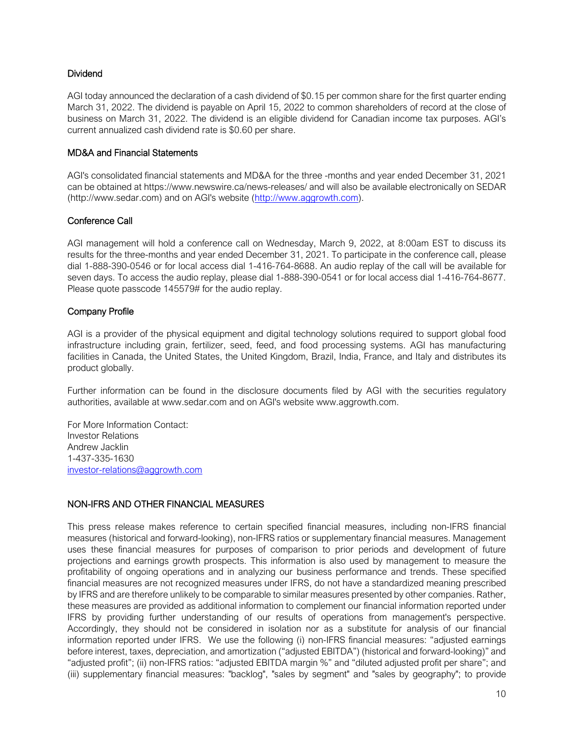## Dividend

AGI today announced the declaration of a cash dividend of \$0.15 per common share for the first quarter ending March 31, 2022. The dividend is payable on April 15, 2022 to common shareholders of record at the close of business on March 31, 2022. The dividend is an eligible dividend for Canadian income tax purposes. AGI's current annualized cash dividend rate is \$0.60 per share.

## MD&A and Financial Statements

AGI's consolidated financial statements and MD&A for the three -months and year ended December 31, 2021 can be obtained at https://www.newswire.ca/news-releases/ and will also be available electronically on SEDAR (http://www.sedar.com) and on AGI's website [\(http://www.aggrowth.com\)](http://www.aggrowth.com/).

## Conference Call

AGI management will hold a conference call on Wednesday, March 9, 2022, at 8:00am EST to discuss its results for the three-months and year ended December 31, 2021. To participate in the conference call, please dial 1-888-390-0546 or for local access dial 1-416-764-8688. An audio replay of the call will be available for seven days. To access the audio replay, please dial 1-888-390-0541 or for local access dial 1-416-764-8677. Please quote passcode 145579# for the audio replay.

## Company Profile

AGI is a provider of the physical equipment and digital technology solutions required to support global food infrastructure including grain, fertilizer, seed, feed, and food processing systems. AGI has manufacturing facilities in Canada, the United States, the United Kingdom, Brazil, India, France, and Italy and distributes its product globally.

Further information can be found in the disclosure documents filed by AGI with the securities regulatory authorities, available at www.sedar.com and on AGI's website www.aggrowth.com.

For More Information Contact: Investor Relations Andrew Jacklin 1-437-335-1630 [investor-relations@aggrowth.com](mailto:investor-relations@aggrowth.com)

## NON-IFRS AND OTHER FINANCIAL MEASURES

This press release makes reference to certain specified financial measures, including non-IFRS financial measures (historical and forward-looking), non-IFRS ratios or supplementary financial measures. Management uses these financial measures for purposes of comparison to prior periods and development of future projections and earnings growth prospects. This information is also used by management to measure the profitability of ongoing operations and in analyzing our business performance and trends. These specified financial measures are not recognized measures under IFRS, do not have a standardized meaning prescribed by IFRS and are therefore unlikely to be comparable to similar measures presented by other companies. Rather, these measures are provided as additional information to complement our financial information reported under IFRS by providing further understanding of our results of operations from management's perspective. Accordingly, they should not be considered in isolation nor as a substitute for analysis of our financial information reported under IFRS. We use the following (i) non-IFRS financial measures: "adjusted earnings before interest, taxes, depreciation, and amortization ("adjusted EBITDA") (historical and forward-looking)" and "adjusted profit"; (ii) non-IFRS ratios: "adjusted EBITDA margin %" and "diluted adjusted profit per share"; and (iii) supplementary financial measures: "backlog", "sales by segment" and "sales by geography"; to provide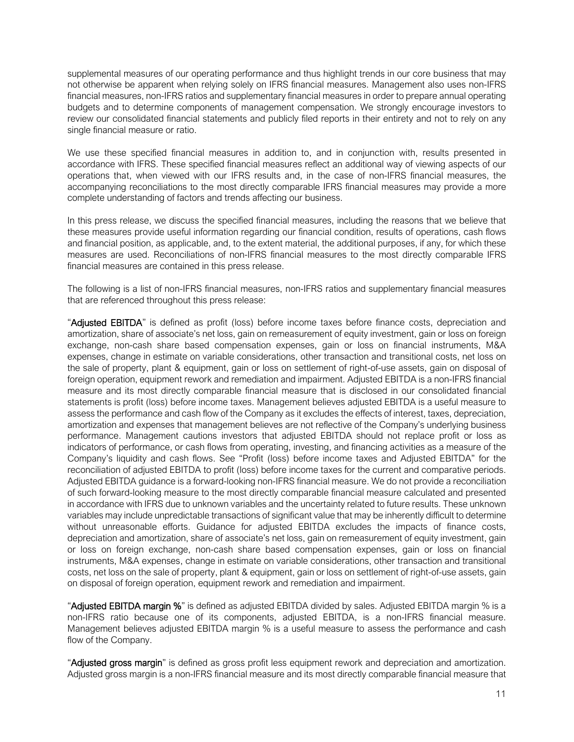supplemental measures of our operating performance and thus highlight trends in our core business that may not otherwise be apparent when relying solely on IFRS financial measures. Management also uses non-IFRS financial measures, non-IFRS ratios and supplementary financial measures in order to prepare annual operating budgets and to determine components of management compensation. We strongly encourage investors to review our consolidated financial statements and publicly filed reports in their entirety and not to rely on any single financial measure or ratio.

We use these specified financial measures in addition to, and in conjunction with, results presented in accordance with IFRS. These specified financial measures reflect an additional way of viewing aspects of our operations that, when viewed with our IFRS results and, in the case of non-IFRS financial measures, the accompanying reconciliations to the most directly comparable IFRS financial measures may provide a more complete understanding of factors and trends affecting our business.

In this press release, we discuss the specified financial measures, including the reasons that we believe that these measures provide useful information regarding our financial condition, results of operations, cash flows and financial position, as applicable, and, to the extent material, the additional purposes, if any, for which these measures are used. Reconciliations of non-IFRS financial measures to the most directly comparable IFRS financial measures are contained in this press release.

The following is a list of non-IFRS financial measures, non-IFRS ratios and supplementary financial measures that are referenced throughout this press release:

"Adjusted EBITDA" is defined as profit (loss) before income taxes before finance costs, depreciation and amortization, share of associate's net loss, gain on remeasurement of equity investment, gain or loss on foreign exchange, non-cash share based compensation expenses, gain or loss on financial instruments, M&A expenses, change in estimate on variable considerations, other transaction and transitional costs, net loss on the sale of property, plant & equipment, gain or loss on settlement of right-of-use assets, gain on disposal of foreign operation, equipment rework and remediation and impairment. Adjusted EBITDA is a non-IFRS financial measure and its most directly comparable financial measure that is disclosed in our consolidated financial statements is profit (loss) before income taxes. Management believes adjusted EBITDA is a useful measure to assess the performance and cash flow of the Company as it excludes the effects of interest, taxes, depreciation, amortization and expenses that management believes are not reflective of the Company's underlying business performance. Management cautions investors that adjusted EBITDA should not replace profit or loss as indicators of performance, or cash flows from operating, investing, and financing activities as a measure of the Company's liquidity and cash flows. See "Profit (loss) before income taxes and Adjusted EBITDA" for the reconciliation of adjusted EBITDA to profit (loss) before income taxes for the current and comparative periods. Adjusted EBITDA guidance is a forward-looking non-IFRS financial measure. We do not provide a reconciliation of such forward-looking measure to the most directly comparable financial measure calculated and presented in accordance with IFRS due to unknown variables and the uncertainty related to future results. These unknown variables may include unpredictable transactions of significant value that may be inherently difficult to determine without unreasonable efforts. Guidance for adjusted EBITDA excludes the impacts of finance costs, depreciation and amortization, share of associate's net loss, gain on remeasurement of equity investment, gain or loss on foreign exchange, non-cash share based compensation expenses, gain or loss on financial instruments, M&A expenses, change in estimate on variable considerations, other transaction and transitional costs, net loss on the sale of property, plant & equipment, gain or loss on settlement of right-of-use assets, gain on disposal of foreign operation, equipment rework and remediation and impairment.

"Adjusted EBITDA margin %" is defined as adjusted EBITDA divided by sales. Adjusted EBITDA margin % is a non-IFRS ratio because one of its components, adjusted EBITDA, is a non-IFRS financial measure. Management believes adjusted EBITDA margin % is a useful measure to assess the performance and cash flow of the Company.

"Adjusted gross margin" is defined as gross profit less equipment rework and depreciation and amortization. Adjusted gross margin is a non-IFRS financial measure and its most directly comparable financial measure that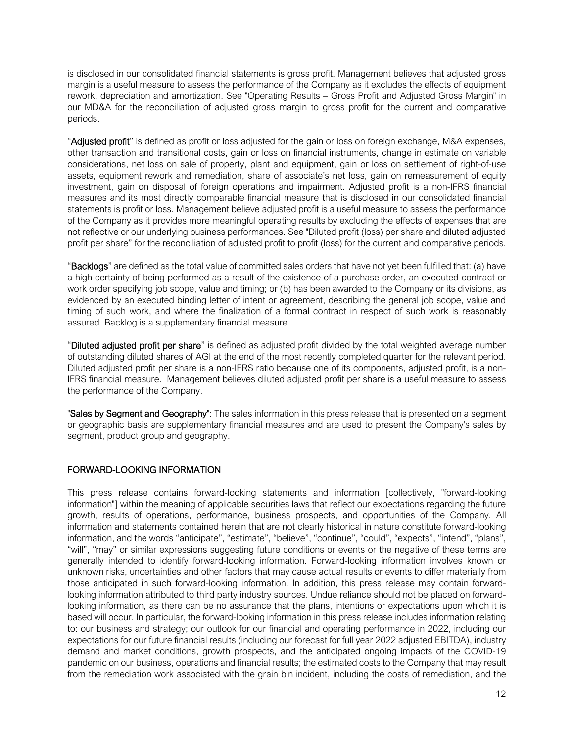is disclosed in our consolidated financial statements is gross profit. Management believes that adjusted gross margin is a useful measure to assess the performance of the Company as it excludes the effects of equipment rework, depreciation and amortization. See "Operating Results – Gross Profit and Adjusted Gross Margin" in our MD&A for the reconciliation of adjusted gross margin to gross profit for the current and comparative periods.

"Adjusted profit" is defined as profit or loss adjusted for the gain or loss on foreign exchange, M&A expenses, other transaction and transitional costs, gain or loss on financial instruments, change in estimate on variable considerations, net loss on sale of property, plant and equipment, gain or loss on settlement of right-of-use assets, equipment rework and remediation, share of associate's net loss, gain on remeasurement of equity investment, gain on disposal of foreign operations and impairment. Adjusted profit is a non-IFRS financial measures and its most directly comparable financial measure that is disclosed in our consolidated financial statements is profit or loss. Management believe adjusted profit is a useful measure to assess the performance of the Company as it provides more meaningful operating results by excluding the effects of expenses that are not reflective or our underlying business performances. See "Diluted profit (loss) per share and diluted adjusted profit per share" for the reconciliation of adjusted profit to profit (loss) for the current and comparative periods.

"Backlogs" are defined as the total value of committed sales orders that have not yet been fulfilled that: (a) have a high certainty of being performed as a result of the existence of a purchase order, an executed contract or work order specifying job scope, value and timing; or (b) has been awarded to the Company or its divisions, as evidenced by an executed binding letter of intent or agreement, describing the general job scope, value and timing of such work, and where the finalization of a formal contract in respect of such work is reasonably assured. Backlog is a supplementary financial measure.

"Diluted adjusted profit per share" is defined as adjusted profit divided by the total weighted average number of outstanding diluted shares of AGI at the end of the most recently completed quarter for the relevant period. Diluted adjusted profit per share is a non-IFRS ratio because one of its components, adjusted profit, is a non-IFRS financial measure. Management believes diluted adjusted profit per share is a useful measure to assess the performance of the Company.

"Sales by Segment and Geography": The sales information in this press release that is presented on a segment or geographic basis are supplementary financial measures and are used to present the Company's sales by segment, product group and geography.

## FORWARD-LOOKING INFORMATION

This press release contains forward-looking statements and information [collectively, "forward-looking information"] within the meaning of applicable securities laws that reflect our expectations regarding the future growth, results of operations, performance, business prospects, and opportunities of the Company. All information and statements contained herein that are not clearly historical in nature constitute forward-looking information, and the words "anticipate", "estimate", "believe", "continue", "could", "expects", "intend", "plans", "will", "may" or similar expressions suggesting future conditions or events or the negative of these terms are generally intended to identify forward-looking information. Forward-looking information involves known or unknown risks, uncertainties and other factors that may cause actual results or events to differ materially from those anticipated in such forward-looking information. In addition, this press release may contain forwardlooking information attributed to third party industry sources. Undue reliance should not be placed on forwardlooking information, as there can be no assurance that the plans, intentions or expectations upon which it is based will occur. In particular, the forward-looking information in this press release includes information relating to: our business and strategy; our outlook for our financial and operating performance in 2022, including our expectations for our future financial results (including our forecast for full year 2022 adjusted EBITDA), industry demand and market conditions, growth prospects, and the anticipated ongoing impacts of the COVID-19 pandemic on our business, operations and financial results; the estimated costs to the Company that may result from the remediation work associated with the grain bin incident, including the costs of remediation, and the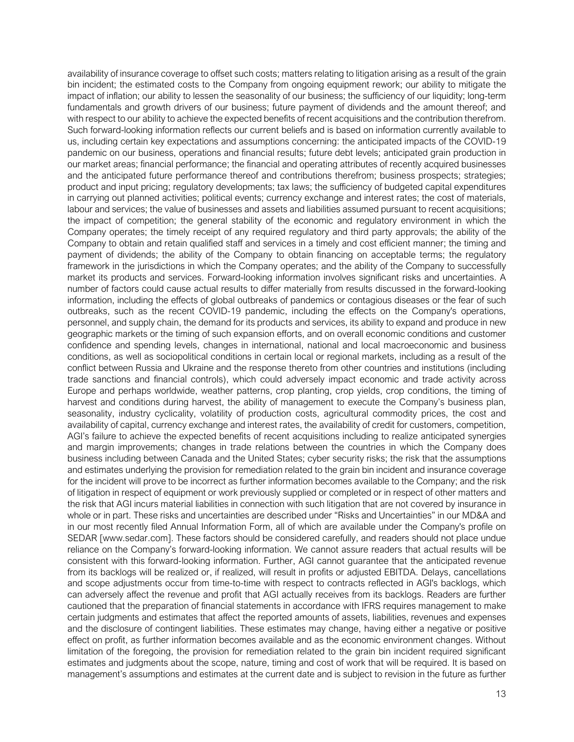availability of insurance coverage to offset such costs; matters relating to litigation arising as a result of the grain bin incident; the estimated costs to the Company from ongoing equipment rework; our ability to mitigate the impact of inflation; our ability to lessen the seasonality of our business; the sufficiency of our liquidity; long-term fundamentals and growth drivers of our business; future payment of dividends and the amount thereof; and with respect to our ability to achieve the expected benefits of recent acquisitions and the contribution therefrom. Such forward-looking information reflects our current beliefs and is based on information currently available to us, including certain key expectations and assumptions concerning: the anticipated impacts of the COVID-19 pandemic on our business, operations and financial results; future debt levels; anticipated grain production in our market areas; financial performance; the financial and operating attributes of recently acquired businesses and the anticipated future performance thereof and contributions therefrom; business prospects; strategies; product and input pricing; regulatory developments; tax laws; the sufficiency of budgeted capital expenditures in carrying out planned activities; political events; currency exchange and interest rates; the cost of materials, labour and services; the value of businesses and assets and liabilities assumed pursuant to recent acquisitions; the impact of competition; the general stability of the economic and regulatory environment in which the Company operates; the timely receipt of any required regulatory and third party approvals; the ability of the Company to obtain and retain qualified staff and services in a timely and cost efficient manner; the timing and payment of dividends; the ability of the Company to obtain financing on acceptable terms; the regulatory framework in the jurisdictions in which the Company operates; and the ability of the Company to successfully market its products and services. Forward-looking information involves significant risks and uncertainties. A number of factors could cause actual results to differ materially from results discussed in the forward-looking information, including the effects of global outbreaks of pandemics or contagious diseases or the fear of such outbreaks, such as the recent COVID-19 pandemic, including the effects on the Company's operations, personnel, and supply chain, the demand for its products and services, its ability to expand and produce in new geographic markets or the timing of such expansion efforts, and on overall economic conditions and customer confidence and spending levels, changes in international, national and local macroeconomic and business conditions, as well as sociopolitical conditions in certain local or regional markets, including as a result of the conflict between Russia and Ukraine and the response thereto from other countries and institutions (including trade sanctions and financial controls), which could adversely impact economic and trade activity across Europe and perhaps worldwide, weather patterns, crop planting, crop yields, crop conditions, the timing of harvest and conditions during harvest, the ability of management to execute the Company's business plan, seasonality, industry cyclicality, volatility of production costs, agricultural commodity prices, the cost and availability of capital, currency exchange and interest rates, the availability of credit for customers, competition, AGI's failure to achieve the expected benefits of recent acquisitions including to realize anticipated synergies and margin improvements; changes in trade relations between the countries in which the Company does business including between Canada and the United States; cyber security risks; the risk that the assumptions and estimates underlying the provision for remediation related to the grain bin incident and insurance coverage for the incident will prove to be incorrect as further information becomes available to the Company; and the risk of litigation in respect of equipment or work previously supplied or completed or in respect of other matters and the risk that AGI incurs material liabilities in connection with such litigation that are not covered by insurance in whole or in part. These risks and uncertainties are described under "Risks and Uncertainties" in our MD&A and in our most recently filed Annual Information Form, all of which are available under the Company's profile on SEDAR [www.sedar.com]. These factors should be considered carefully, and readers should not place undue reliance on the Company's forward-looking information. We cannot assure readers that actual results will be consistent with this forward-looking information. Further, AGI cannot guarantee that the anticipated revenue from its backlogs will be realized or, if realized, will result in profits or adjusted EBITDA. Delays, cancellations and scope adjustments occur from time-to-time with respect to contracts reflected in AGI's backlogs, which can adversely affect the revenue and profit that AGI actually receives from its backlogs. Readers are further cautioned that the preparation of financial statements in accordance with IFRS requires management to make certain judgments and estimates that affect the reported amounts of assets, liabilities, revenues and expenses and the disclosure of contingent liabilities. These estimates may change, having either a negative or positive effect on profit, as further information becomes available and as the economic environment changes. Without limitation of the foregoing, the provision for remediation related to the grain bin incident required significant estimates and judgments about the scope, nature, timing and cost of work that will be required. It is based on management's assumptions and estimates at the current date and is subject to revision in the future as further